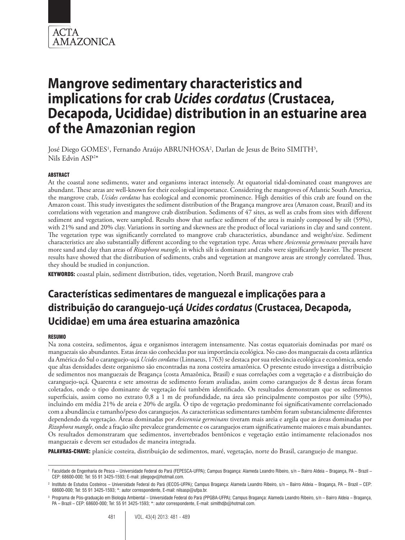

# **Mangrove sedimentary characteristics and implications for crab** *Ucides cordatus* **(Crustacea, Decapoda, Ucididae) distribution in an estuarine area of the Amazonian region**

José Diego GOMES<sup>1</sup>, Fernando Araújo ABRUNHOSA<sup>2</sup>, Darlan de Jesus de Brito SIMITH<sup>3</sup>, Nils Edvin ASP2 \*

#### **ABSTRACT**

At the coastal zone sediments, water and organisms interact intensely. At equatorial tidal-dominated coast mangroves are abundant. These areas are well-known for their ecological importance. Considering the mangroves of Atlantic South America, the mangrove crab, *Ucides cordatus* has ecological and economic prominence. High densities of this crab are found on the Amazon coast. This study investigates the sediment distribution of the Bragança mangrove area (Amazon coast, Brazil) and its correlations with vegetation and mangrove crab distribution. Sediments of 47 sites, as well as crabs from sites with different sediment and vegetation, were sampled. Results show that surface sediment of the area is mainly composed by silt (59%), with 21% sand and 20% clay. Variations in sorting and skewness are the product of local variations in clay and sand content. The vegetation type was significantly correlated to mangrove crab characteristics, abundance and weight/size. Sediment characteristics are also substantially different according to the vegetation type. Areas where *Avicennia germinans* prevails have more sand and clay than areas of *Rizophora mangle*, in which silt is dominant and crabs were significantly heavier. The present results have showed that the distribution of sediments, crabs and vegetation at mangrove areas are strongly correlated. Thus, they should be studied in conjunction.

KEYWORDS: coastal plain, sediment distribution, tides, vegetation, North Brazil, mangrove crab

# **Características sedimentares de manguezal e implicações para a distribuição do caranguejo-uçá** *Ucides cordatus* **(Crustacea, Decapoda, Ucididae) em uma área estuarina amazônica**

#### RESUMO

Na zona costeira, sedimentos, água e organismos interagem intensamente. Nas costas equatoriais dominadas por maré os manguezais são abundantes. Estas áreas são conhecidas por sua importância ecológica. No caso dos manguezais da costa atlântica da América do Sul o caranguejo-uçá *Ucides cordatus* (Linnaeus, 1763) se destaca por sua relevância ecológica e econômica, sendo que altas densidades deste organismo são encontradas na zona costeira amazônica. O presente estudo investiga a distribuição de sedimentos nos manguezais de Bragança (costa Amazônica, Brasil) e suas correlações com a vegetação e a distribuição do caranguejo-uçá. Quarenta e sete amostras de sedimento foram avaliadas, assim como caranguejos de 8 destas áreas foram coletados, onde o tipo dominante de vegetação foi também identificado. Os resultados demonstram que os sedimentos superficiais, assim como no extrato 0,8 a 1 m de profundidade, na área são principalmente compostos por silte (59%), incluindo em média 21% de areia e 20% de argila. O tipo de vegetação predominante foi significativamente correlacionado com a abundância e tamanho/peso dos caranguejos. As características sedimentares também foram substancialmente diferentes dependendo da vegetação. Áreas dominadas por *Avicennia germinans* tiveram mais areia e argila que as áreas dominadas por *Rizophora mangle*, onde a fração silte prevalece grandemente e os caranguejos eram significativamente maiores e mais abundantes. Os resultados demonstraram que sedimentos, invertebrados bentônicos e vegetação estão intimamente relacionados nos manguezais e devem ser estudados de maneira integrada.

PALAVRAS-CHAVE: planície costeira, distribuição de sedimentos, maré, vegetação, norte do Brasil, caranguejo de mangue.

<sup>1</sup> Faculdade de Engenharia de Pesca – Universidade Federal do Pará (FEPESCA-UFPA); Campus Bragança: Alameda Leandro Ribeiro, s/n – Bairro Aldeia – Bragança, PA – Brazil – CEP: 68600-000; Tel: 55 91 3425-1593; E-mail: jdiegogv@hotmail.com.

<sup>2</sup> Instituto de Estudos Costeiros – Universidade Federal do Pará (IECOS-UFPA); Campus Bragança: Alameda Leandro Ribeiro, s/n – Bairro Aldeia – Bragança, PA – Brazil – CEP: 68600-000; Tel: 55 91 3425-1593; \*: autor correspondente, E-mail: nilsasp@ufpa.br.

<sup>&</sup>lt;sup>3</sup> Programa de Pós-graduação em Biologia Ambiental – Universidade Federal do Pará (PPGBA-UFPA); Campus Bragança: Alameda Leandro Ribeiro, s/n – Bairro Aldeia – Bragança, PA – Brazil – CEP: 68600-000; Tel: 55 91 3425-1593; \*: autor correspondente, E-mail: simithdjb@hotmail.com.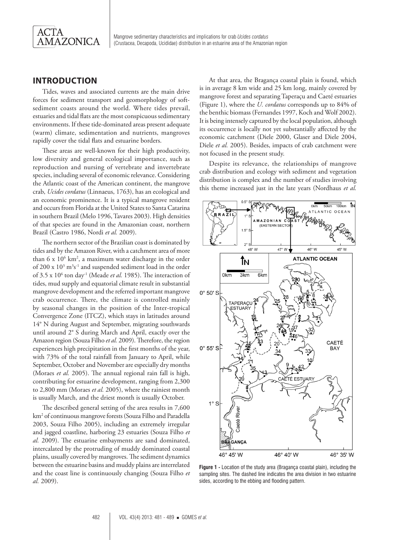

# **INTRODUCTION**

Tides, waves and associated currents are the main drive forces for sediment transport and geomorphology of softsediment coasts around the world. Where tides prevail, estuaries and tidal flats are the most conspicuous sedimentary environments. If these tide-dominated areas present adequate (warm) climate, sedimentation and nutrients, mangroves rapidly cover the tidal flats and estuarine borders.

These areas are well-known for their high productivity, low diversity and general ecological importance, such as reproduction and nursing of vertebrate and invertebrate species, including several of economic relevance. Considering the Atlantic coast of the American continent, the mangrove crab, *Ucides cordatus* (Linnaeus, 1763), has an ecological and an economic prominence. It is a typical mangrove resident and occurs from Florida at the United States to Santa Catarina in southern Brazil (Melo 1996, Tavares 2003). High densities of that species are found in the Amazonian coast, northern Brazil (Castro 1986, Nordi *et al.* 2009).

The northern sector of the Brazilian coast is dominated by tides and by the Amazon River, with a catchment area of more than 6 x 106 km2 , a maximum water discharge in the order of 200 x 10<sup>3</sup> m<sup>3</sup>s<sup>-1</sup> and suspended sediment load in the order of 3.5 x 10<sup>6</sup> ton day<sup>-1</sup> (Meade *et al.* 1985). The interaction of tides, mud supply and equatorial climate result in substantial mangrove development and the referred important mangrove crab occurrence. There, the climate is controlled mainly by seasonal changes in the position of the Inter-tropical Convergence Zone (ITCZ), which stays in latitudes around 14° N during August and September, migrating southwards until around 2° S during March and April, exactly over the Amazon region (Souza Filho *et al.* 2009). Therefore, the region experiences high precipitation in the first months of the year, with 73% of the total rainfall from January to April, while September, October and November are especially dry months (Moraes *et al.* 2005). The annual regional rain fall is high, contributing for estuarine development, ranging from 2,300 to 2,800 mm (Moraes *et al.* 2005), where the rainiest month is usually March, and the driest month is usually October.

The described general setting of the area results in 7,600 km2 of continuous mangrove forests (Souza Filho and Paradella 2003, Souza Filho 2005), including an extremely irregular and jagged coastline, harboring 23 estuaries (Souza Filho *et al.* 2009). The estuarine embayments are sand dominated, intercalated by the protruding of muddy dominated coastal plains, usually covered by mangroves. The sediment dynamics between the estuarine basins and muddy plains are interrelated and the coast line is continuously changing (Souza Filho *et al.* 2009).

At that area, the Bragança coastal plain is found, which is in average 8 km wide and 25 km long, mainly covered by mangrove forest and separating Taperaçu and Caeté estuaries (Figure 1), where the *U. cordatus* corresponds up to 84% of the benthic biomass (Fernandes 1997, Koch and Wolf 2002). It is being intensely captured by the local population, although its occurrence is locally not yet substantially affected by the economic catchment (Diele 2000, Glaser and Diele 2004, Diele *et al.* 2005). Besides, impacts of crab catchment were not focused in the present study.

Despite its relevance, the relationships of mangrove crab distribution and ecology with sediment and vegetation distribution is complex and the number of studies involving this theme increased just in the late years (Nordhaus *et al.*



**Figure 1 -** Location of the study area (Bragança coastal plain), including the sampling sites. The dashed line indicates the area division in two estuarine sides, according to the ebbing and flooding pattern.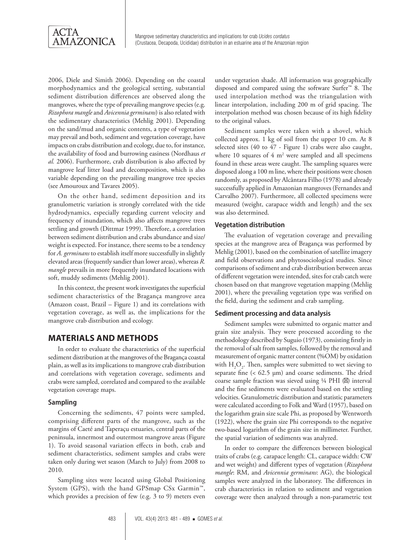

2006, Diele and Simith 2006). Depending on the coastal morphodynamics and the geological setting, substantial sediment distribution differences are observed along the mangroves, where the type of prevailing mangrove species (e.g. *Rizophora mangle* and *Avicennia germinans*) is also related with the sedimentary characteristics (Mehlig 2001). Depending on the sand/mud and organic contents, a type of vegetation may prevail and both, sediment and vegetation coverage, have impacts on crabs distribution and ecology, due to, for instance, the availability of food and burrowing easiness (Nordhaus *et al.* 2006). Furthermore, crab distribution is also affected by mangrove leaf litter load and decomposition, which is also variable depending on the prevailing mangrove tree species (see Amouroux and Tavares 2005).

On the other hand, sediment deposition and its granulometric variation is strongly correlated with the tide hydrodynamics, especially regarding current velocity and frequency of inundation, which also affects mangrove trees settling and growth (Dittmar 1999). Therefore, a correlation between sediment distribution and crabs abundance and size/ weight is expected. For instance, there seems to be a tendency for *A. germinans* to establish itself more successfully in slightly elevated areas (frequently sandier than lower areas), whereas *R. mangle* prevails in more frequently inundated locations with soft, muddy sediments (Mehlig 2001).

In this context, the present work investigates the superficial sediment characteristics of the Bragança mangrove area (Amazon coast, Brazil – Figure 1) and its correlations with vegetation coverage, as well as, the implications for the mangrove crab distribution and ecology.

# **MATERIALS AND METHODS**

In order to evaluate the characteristics of the superficial sediment distribution at the mangroves of the Bragança coastal plain, as well as its implications to mangrove crab distribution and correlations with vegetation coverage, sediments and crabs were sampled, correlated and compared to the available vegetation coverage maps.

#### **Sampling**

Concerning the sediments, 47 points were sampled, comprising different parts of the mangrove, such as the margins of Caeté and Taperaçu estuaries, central parts of the peninsula, innermost and outermost mangrove areas (Figure 1). To avoid seasonal variation effects in both, crab and sediment characteristics, sediment samples and crabs were taken only during wet season (March to July) from 2008 to 2010.

Sampling sites were located using Global Positioning System (GPS), with the hand GPSmap CSx Garmin™, which provides a precision of few (e.g. 3 to 9) meters even

under vegetation shade. All information was geographically disposed and compared using the software Surfer™ 8. The used interpolation method was the triangulation with linear interpolation, including 200 m of grid spacing. The interpolation method was chosen because of its high fidelity to the original values.

Sediment samples were taken with a shovel, which collected approx. 1 kg of soil from the upper 10 cm. At 8 selected sites (40 to 47 - Figure 1) crabs were also caught, where 10 squares of  $4 \text{ m}^2$  were sampled and all specimens found in these areas were caught. The sampling squares were disposed along a 100 m line, where their positions were chosen randomly, as proposed by Alcântara Filho (1978) and already successfully applied in Amazonian mangroves (Fernandes and Carvalho 2007). Furthermore, all collected specimens were measured (weight, carapace width and length) and the sex was also determined.

#### **Vegetation distribution**

The evaluation of vegetation coverage and prevailing species at the mangrove area of Bragança was performed by Mehlig (2001), based on the combination of satellite imagery and field observations and phytosociological studies. Since comparisons of sediment and crab distribution between areas of different vegetation were intended, sites for crab catch were chosen based on that mangrove vegetation mapping (Mehlig 2001), where the prevailing vegetation type was verified on the field, during the sediment and crab sampling.

#### **Sediment processing and data analysis**

Sediment samples were submitted to organic matter and grain size analysis. They were processed according to the methodology described by Suguio (1973), consisting firstly in the removal of salt from samples, followed by the removal and measurement of organic matter content (%OM) by oxidation with  $H_2O_2$ . Then, samples were submitted to wet sieving to separate fine  $( $62.5 \mu m$ )$  and coarse sediments. The dried coarse sample fraction was sieved using  $\frac{1}{4}$  PHI ( $\frac{1}{4}$ ) interval and the fine sediments were evaluated based on the settling velocities. Granulometric distribution and statistic parameters were calculated according to Folk and Ward (1957), based on the logarithm grain size scale Phi, as proposed by Wentworth (1922), where the grain size Phi corresponds to the negative two-based logarithm of the grain size in millimeter. Further, the spatial variation of sediments was analyzed.

In order to compare the differences between biological traits of crabs (e.g. carapace length: CL, carapace width: CW and wet weight) and different types of vegetation (*Rizophora mangle*: RM, and *Avicennia germinans*: AG), the biological samples were analyzed in the laboratory. The differences in crab characteristics in relation to sediment and vegetation coverage were then analyzed through a non-parametric test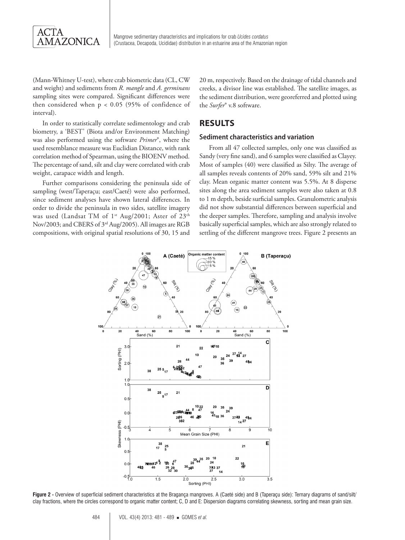

(Mann-Whitney U-test), where crab biometric data (CL, CW and weight) and sediments from *R. mangle* and *A. germinans* sampling sites were compared. Significant differences were then considered when p < 0.05 (95% of confidence of interval).

In order to statistically correlate sedimentology and crab biometry, a 'BEST' (Biota and/or Environment Matching) was also performed using the software *Primer*®, where the used resemblance measure was Euclidian Distance, with rank correlation method of Spearman, using the BIOENV method. The percentage of sand, silt and clay were correlated with crab weight, carapace width and length.

Further comparisons considering the peninsula side of sampling (west/Taperaçu; east/Caeté) were also performed, since sediment analyses have shown lateral differences. In order to divide the peninsula in two sides, satellite imagery was used (Landsat TM of 1<sup>st</sup> Aug/2001; Aster of 23<sup>th</sup> Nov/2003; and CBERS of 3rd Aug/2005). All images are RGB compositions, with original spatial resolutions of 30, 15 and

20 m, respectively. Based on the drainage of tidal channels and creeks, a divisor line was established. The satellite images, as the sediment distribution, were georeferred and plotted using the *Surfer*® v.8 software.

# **RESULTS**

#### **Sediment characteristics and variation**

From all 47 collected samples, only one was classified as Sandy (very fine sand), and 6 samples were classified as Clayey. Most of samples (40) were classified as Silty. The average of all samples reveals contents of 20% sand, 59% silt and 21% clay. Mean organic matter content was 5.5%. At 8 disperse sites along the area sediment samples were also taken at 0.8 to 1 m depth, beside surficial samples. Granulometric analysis did not show substantial differences between superficial and the deeper samples. Therefore, sampling and analysis involve basically superficial samples, which are also strongly related to settling of the different mangrove trees. Figure 2 presents an



**Figure 2 -** Overview of superficial sediment characteristics at the Bragança mangroves. A (Caeté side) and B (Taperaçu side): Ternary diagrams of sand/silt/ clay fractions, where the circles correspond to organic matter content; C, D and E: Dispersion diagrams correlating skewness, sorting and mean grain size.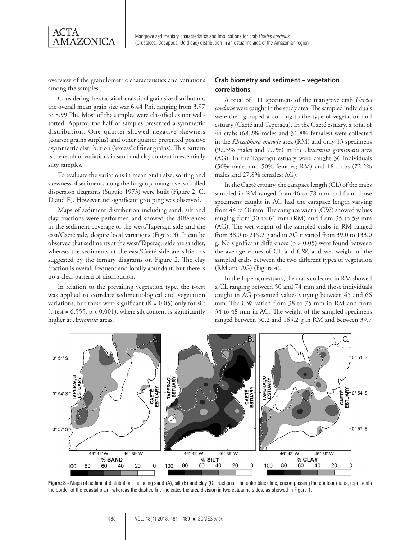

overview of the granulometric characteristics and variations among the samples.

Considering the statistical analysis of grain size distribution, the overall mean grain size was 6.44 Phi, ranging from 3.97 to 8.99 Phi. Most of the samples were classified as not wellsorted. Approx. the half of samples presented a symmetric distribution. One quarter showed negative skewness (coarser grains surplus) and other quarter presented positive asymmetric distribution ('excess' of finer grains). This pattern is the result of variations in sand and clay content in essentially silty samples.

To evaluate the variations in mean grain size, sorting and skewness of sediments along the Bragança mangrove, so-called dispersion diagrams (Suguio 1973) were built (Figure 2, C, D and E). However, no significant grouping was observed.

Maps of sediment distribution including sand, silt and clay fractions were performed and showed the differences in the sediment coverage of the west/Taperaçu side and the east/Caeté side, despite local variations (Figure 3). It can be observed that sediments at the west/Taperaçu side are sandier, whereas the sediments at the east/Caeté side are siltier, as suggested by the ternary diagrams on Figure 2. The clay fraction is overall frequent and locally abundant, but there is no a clear pattern of distribution.

In relation to the prevailing vegetation type, the t-test was applied to correlate sedimentological and vegetation variations, but these were significant  $( = 0.05)$  only for silt (t-test =  $6.555$ ,  $p < 0.001$ ), where silt content is significantly higher at *Avicennia* areas.

#### **Crab biometry and sediment – vegetation correlations**

A total of 111 specimens of the mangrove crab *Ucides cordatu*s were caught in the study area. The sampled individuals were then grouped according to the type of vegetation and estuary (Caeté and Taperaçu). In the Caeté estuary, a total of 44 crabs (68.2% males and 31.8% females) were collected in the *Rhizophora mangle* area (RM) and only 13 specimens (92.3% males and 7.7%) in the *Avicennia germinans* area (AG). In the Taperaçu estuary were caught 36 individuals (50% males and 50% females; RM) and 18 crabs (72.2% males and 27.8% females; AG).

In the Caeté estuary, the carapace length (CL) of the crabs sampled in RM ranged from 46 to 78 mm and from those specimens caught in AG had the carapace length varying from 44 to 68 mm. The carapace width (CW) showed values ranging from 30 to 61 mm (RM) and from 35 to 59 mm (AG). The wet weight of the sampled crabs in RM ranged from 38.0 to 219.2 g and in AG it varied from 39.0 to 133.0 g. No significant differences ( $p > 0.05$ ) were found between the average values of CL and CW, and wet weight of the sampled crabs between the two different types of vegetation (RM and AG) (Figure 4).

In the Taperaçu estuary, the crabs collected in RM showed a CL ranging between 50 and 74 mm and those individuals caught in AG presented values varying between 45 and 66 mm. The CW varied from 38 to 75 mm in RM and from 34 to 48 mm in AG. The weight of the sampled specimens ranged between 50.2 and 165.2 g in RM and between 39.7



**Figure 3 -** Maps of sediment distribution, including sand (A), silt (B) and clay (C) fractions. The outer black line, encompassing the contour maps, represents the border of the coastal plain, whereas the dashed line indicates the area division in two estuarine sides, as showed in Figure 1.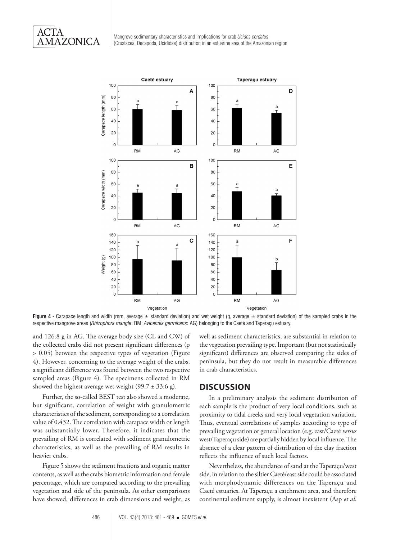Mangrove sedimentary characteristics and implications for crab *Ucides cordatus*  (Crustacea, Decapoda, Ucididae) distribution in an estuarine area of the Amazonian region



Figure 4 - Carapace length and width (mm, average ± standard deviation) and wet weight (g, average ± standard deviation) of the sampled crabs in the respective mangrove areas (*Rhizophora mangle*: RM; *Avicennia germinans*: AG) belonging to the Caeté and Taperaçu estuary.

and 126.8 g in AG. The average body size (CL and CW) of the collected crabs did not present significant differences (p > 0.05) between the respective types of vegetation (Figure 4). However, concerning to the average weight of the crabs, a significant difference was found between the two respective sampled areas (Figure 4). The specimens collected in RM showed the highest average wet weight (99.7  $\pm$  33.6 g).

Further, the so-called BEST test also showed a moderate, but significant, correlation of weight with granulometric characteristics of the sediment, corresponding to a correlation value of 0.432. The correlation with carapace width or length was substantially lower. Therefore, it indicates that the prevailing of RM is correlated with sediment granulometric characteristics, as well as the prevailing of RM results in heavier crabs.

Figure 5 shows the sediment fractions and organic matter contents, as well as the crabs biometric information and female percentage, which are compared according to the prevailing vegetation and side of the peninsula. As other comparisons have showed, differences in crab dimensions and weight, as

well as sediment characteristics, are substantial in relation to the vegetation prevailing type. Important (but not statistically significant) differences are observed comparing the sides of peninsula, but they do not result in measurable differences in crab characteristics.

### **DISCUSSION**

In a preliminary analysis the sediment distribution of each sample is the product of very local conditions, such as proximity to tidal creeks and very local vegetation variation. Thus, eventual correlations of samples according to type of prevailing vegetation or general location (e.g. east/Caeté *versus* west/Taperaçu side) are partially hidden by local influence. The absence of a clear pattern of distribution of the clay fraction reflects the influence of such local factors.

Nevertheless, the abundance of sand at the Taperaçu/west side, in relation to the siltier Caeté/east side could be associated with morphodynamic differences on the Taperaçu and Caeté estuaries. At Taperaçu a catchment area, and therefore continental sediment supply, is almost inexistent (Asp *et al.*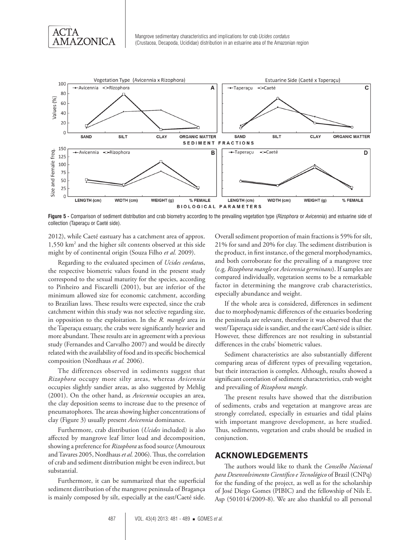



**Figure 5 -** Comparison of sediment distribution and crab biometry according to the prevailing vegetation type (*Rizophora* or *Avicennia*) and estuarine side of collection (Taperaçu or Caeté side).

2012), while Caeté eastuary has a catchment area of approx. 1,550 km2 and the higher silt contents observed at this side might by of continental origin (Souza Filho *et al.* 2009).

Regarding to the evaluated specimen of *Ucides cordatu*s, the respective biometric values found in the present study correspond to the sexual maturity for the species, according to Pinheiro and Fiscarelli (2001), but are inferior of the minimum allowed size for economic catchment, according to Brazilian laws. These results were expected, since the crab catchment within this study was not selective regarding size, in opposition to the exploitation. In the *R. mangle* area in the Taperaçu estuary, the crabs were significantly heavier and more abundant. These results are in agreement with a previous study (Fernandes and Carvalho 2007) and would be directly related with the availability of food and its specific biochemical composition (Nordhaus *et al.* 2006).

The differences observed in sediments suggest that *Rizophora* occupy more silty areas, whereas *Avicennia* occupies slightly sandier areas, as also suggested by Mehlig (2001). On the other hand, as *Avicennia* occupies an area, the clay deposition seems to increase due to the presence of pneumatophores. The areas showing higher concentrations of clay (Figure 3) usually present *Avicennia* dominance.

Furthermore, crab distribution (*Ucides* included) is also affected by mangrove leaf litter load and decomposition, showing a preference for *Rizophora* as food source (Amouroux and Tavares 2005, Nordhaus *et al.* 2006). Thus, the correlation of crab and sediment distribution might be even indirect, but substantial.

Furthermore, it can be summarized that the superficial sediment distribution of the mangrove peninsula of Bragança is mainly composed by silt, especially at the east/Caeté side.

Overall sediment proportion of main fractions is 59% for silt, 21% for sand and 20% for clay. The sediment distribution is the product, in first instance, of the general morphodynamics, and both corroborate for the prevailing of a mangrove tree (e.g. *Rizophora mangle* or *Avicennia germinans*). If samples are compared individually, vegetation seems to be a remarkable factor in determining the mangrove crab characteristics, especially abundance and weight.

If the whole area is considered, differences in sediment due to morphodynamic differences of the estuaries bordering the peninsula are relevant, therefore it was observed that the west/Taperaçu side is sandier, and the east/Caeté side is siltier. However, these differences are not resulting in substantial differences in the crabs' biometric values.

Sediment characteristics are also substantially different comparing areas of different types of prevailing vegetation, but their interaction is complex. Although, results showed a significant correlation of sediment characteristics, crab weight and prevailing of *Rizophora mangle*.

The present results have showed that the distribution of sediments, crabs and vegetation at mangrove areas are strongly correlated, especially in estuaries and tidal plains with important mangrove development, as here studied. Thus, sediments, vegetation and crabs should be studied in conjunction.

## **ACKNOWLEDGEMENTS**

The authors would like to thank the *Conselho Nacional para Desenvolvimento Científico e Tecnológico* of Brazil (CNPq) for the funding of the project, as well as for the scholarship of José Diego Gomes (PIBIC) and the fellowship of Nils E. Asp (501014/2009-8). We are also thankful to all personal